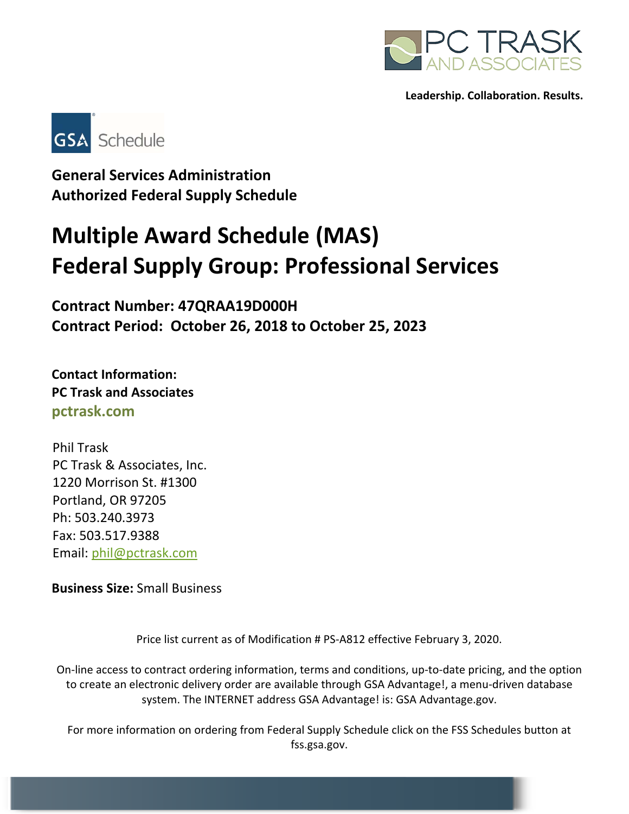



**General Services Administration Authorized Federal Supply Schedule** 

# **Multiple Award Schedule (MAS) Federal Supply Group: Professional Services**

**Contract Number: 47QRAA19D000H Contract Period: October 26, 2018 to October 25, 2023** 

**Contact Information: PC Trask and Associates pctrask.com** 

Phil Trask PC Trask & Associates, Inc. 1220 Morrison St. #1300 Portland, OR 97205 Ph: 503.240.3973 Fax: 503.517.9388 Email: phil@pctrask.com

**Business Size:** Small Business

Price list current as of Modification # PS‐A812 effective February 3, 2020.

On‐line access to contract ordering information, terms and conditions, up‐to‐date pricing, and the option to create an electronic delivery order are available through GSA Advantage!, a menu‐driven database system. The INTERNET address GSA Advantage! is: GSA Advantage.gov.

For more information on ordering from Federal Supply Schedule click on the FSS Schedules button at fss.gsa.gov.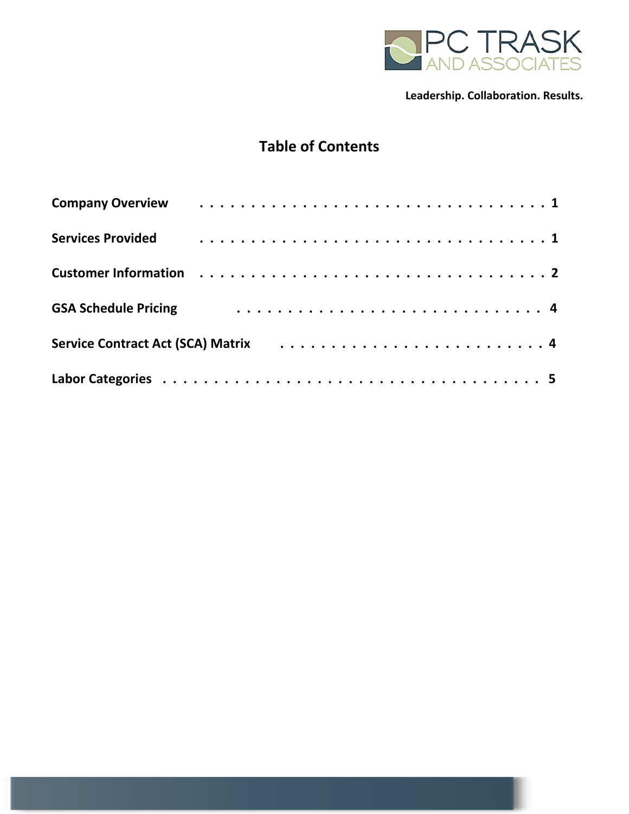

# **Table of Contents**

| <b>Services Provided</b>    |  |  |  |  |  |  |  |  |  |  |  |  |  |
|-----------------------------|--|--|--|--|--|--|--|--|--|--|--|--|--|
|                             |  |  |  |  |  |  |  |  |  |  |  |  |  |
| <b>GSA Schedule Pricing</b> |  |  |  |  |  |  |  |  |  |  |  |  |  |
|                             |  |  |  |  |  |  |  |  |  |  |  |  |  |
|                             |  |  |  |  |  |  |  |  |  |  |  |  |  |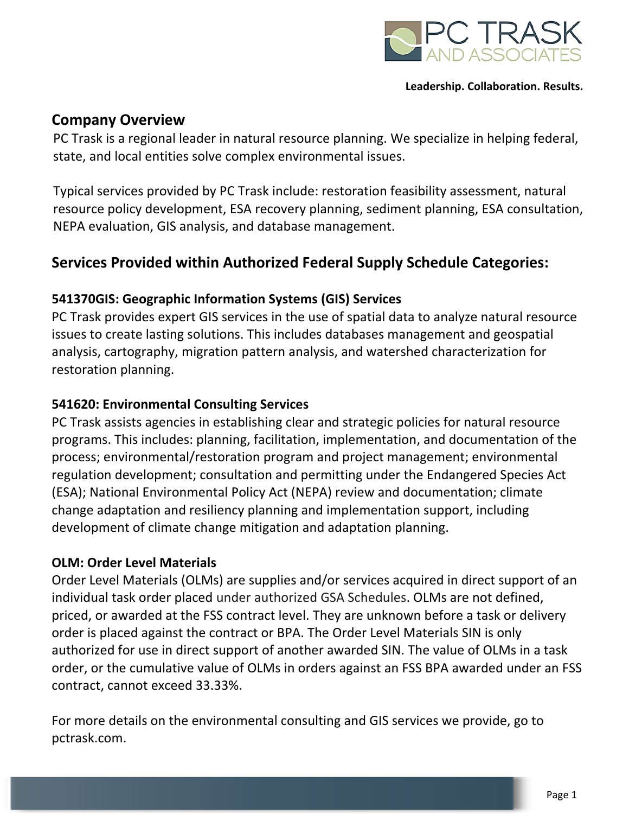

## **Company Overview**

PC Trask is a regional leader in natural resource planning. We specialize in helping federal, state, and local entities solve complex environmental issues.

Typical services provided by PC Trask include: restoration feasibility assessment, natural resource policy development, ESA recovery planning, sediment planning, ESA consultation, NEPA evaluation, GIS analysis, and database management.

## **Services Provided within Authorized Federal Supply Schedule Categories:**

## **541370GIS: Geographic Information Systems (GIS) Services**

PC Trask provides expert GIS services in the use of spatial data to analyze natural resource issues to create lasting solutions. This includes databases management and geospatial analysis, cartography, migration pattern analysis, and watershed characterization for restoration planning.

#### **541620: Environmental Consulting Services**

PC Trask assists agencies in establishing clear and strategic policies for natural resource programs. This includes: planning, facilitation, implementation, and documentation of the process; environmental/restoration program and project management; environmental regulation development; consultation and permitting under the Endangered Species Act (ESA); National Environmental Policy Act (NEPA) review and documentation; climate change adaptation and resiliency planning and implementation support, including development of climate change mitigation and adaptation planning.

### **OLM: Order Level Materials**

Order Level Materials (OLMs) are supplies and/or services acquired in direct support of an individual task order placed under authorized GSA Schedules. OLMs are not defined, priced, or awarded at the FSS contract level. They are unknown before a task or delivery order is placed against the contract or BPA. The Order Level Materials SIN is only authorized for use in direct support of another awarded SIN. The value of OLMs in a task order, or the cumulative value of OLMs in orders against an FSS BPA awarded under an FSS contract, cannot exceed 33.33%.

For more details on the environmental consulting and GIS services we provide, go to pctrask.com.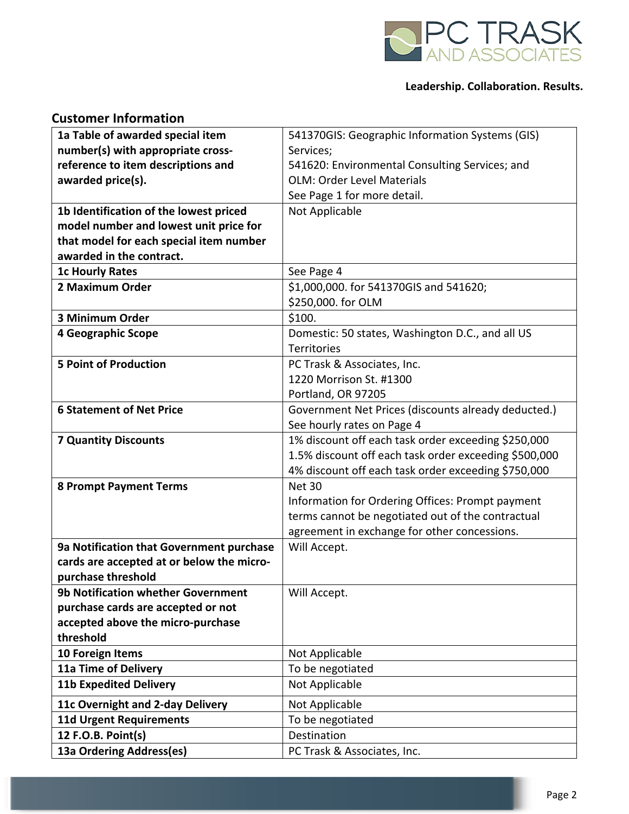

| <b>Customer Information</b>                    |                                                       |
|------------------------------------------------|-------------------------------------------------------|
| 1a Table of awarded special item               | 541370GIS: Geographic Information Systems (GIS)       |
| number(s) with appropriate cross-              | Services;                                             |
| reference to item descriptions and             | 541620: Environmental Consulting Services; and        |
| awarded price(s).                              | <b>OLM: Order Level Materials</b>                     |
|                                                | See Page 1 for more detail.                           |
| 1b Identification of the lowest priced         | Not Applicable                                        |
| model number and lowest unit price for         |                                                       |
| that model for each special item number        |                                                       |
| awarded in the contract.                       |                                                       |
| <b>1c Hourly Rates</b>                         | See Page 4                                            |
| 2 Maximum Order                                | \$1,000,000. for 541370GIS and 541620;                |
|                                                | \$250,000. for OLM                                    |
| 3 Minimum Order                                | \$100.                                                |
| 4 Geographic Scope                             | Domestic: 50 states, Washington D.C., and all US      |
|                                                | Territories                                           |
| <b>5 Point of Production</b>                   | PC Trask & Associates, Inc.                           |
|                                                | 1220 Morrison St. #1300                               |
|                                                | Portland, OR 97205                                    |
| <b>6 Statement of Net Price</b>                | Government Net Prices (discounts already deducted.)   |
|                                                | See hourly rates on Page 4                            |
| <b>7 Quantity Discounts</b>                    | 1% discount off each task order exceeding \$250,000   |
|                                                | 1.5% discount off each task order exceeding \$500,000 |
|                                                | 4% discount off each task order exceeding \$750,000   |
| <b>8 Prompt Payment Terms</b>                  | Net 30                                                |
|                                                | Information for Ordering Offices: Prompt payment      |
|                                                | terms cannot be negotiated out of the contractual     |
|                                                | agreement in exchange for other concessions.          |
| 9a Notification that Government purchase       | Will Accept.                                          |
| cards are accepted at or below the micro-      |                                                       |
| purchase threshold                             |                                                       |
| <b>9b Notification whether Government</b>      | Will Accept.                                          |
| purchase cards are accepted or not             |                                                       |
| accepted above the micro-purchase<br>threshold |                                                       |
|                                                |                                                       |
| 10 Foreign Items                               | Not Applicable                                        |
| 11a Time of Delivery                           | To be negotiated                                      |
| <b>11b Expedited Delivery</b>                  | Not Applicable                                        |
| 11c Overnight and 2-day Delivery               | Not Applicable                                        |
| <b>11d Urgent Requirements</b>                 | To be negotiated                                      |
| 12 F.O.B. Point(s)                             | Destination                                           |
| 13a Ordering Address(es)                       | PC Trask & Associates, Inc.                           |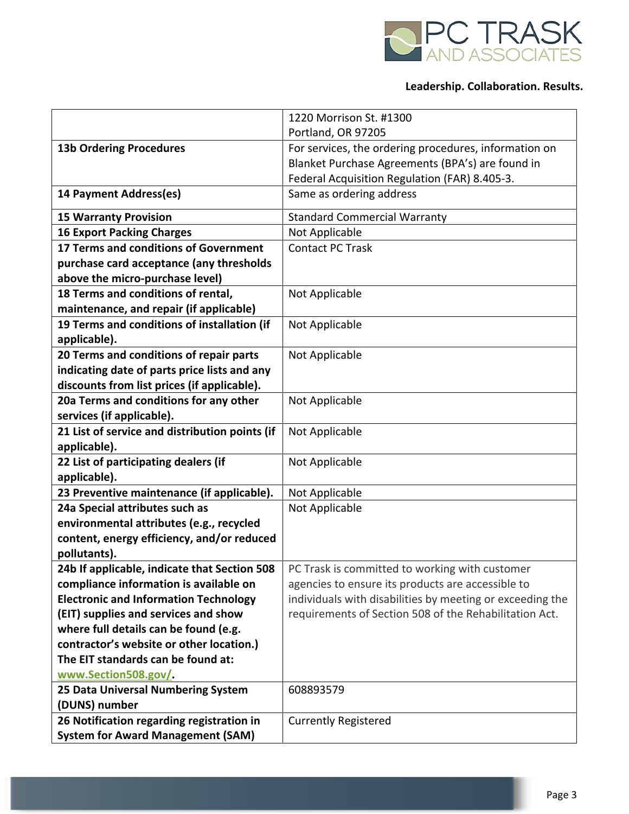

|                                                | 1220 Morrison St. #1300                                   |
|------------------------------------------------|-----------------------------------------------------------|
|                                                | Portland, OR 97205                                        |
| <b>13b Ordering Procedures</b>                 | For services, the ordering procedures, information on     |
|                                                | Blanket Purchase Agreements (BPA's) are found in          |
|                                                | Federal Acquisition Regulation (FAR) 8.405-3.             |
| 14 Payment Address(es)                         | Same as ordering address                                  |
| <b>15 Warranty Provision</b>                   | <b>Standard Commercial Warranty</b>                       |
| <b>16 Export Packing Charges</b>               | Not Applicable                                            |
| 17 Terms and conditions of Government          | <b>Contact PC Trask</b>                                   |
| purchase card acceptance (any thresholds       |                                                           |
| above the micro-purchase level)                |                                                           |
| 18 Terms and conditions of rental,             | Not Applicable                                            |
| maintenance, and repair (if applicable)        |                                                           |
| 19 Terms and conditions of installation (if    | Not Applicable                                            |
| applicable).                                   |                                                           |
| 20 Terms and conditions of repair parts        | Not Applicable                                            |
| indicating date of parts price lists and any   |                                                           |
| discounts from list prices (if applicable).    |                                                           |
| 20a Terms and conditions for any other         | Not Applicable                                            |
| services (if applicable).                      |                                                           |
| 21 List of service and distribution points (if | Not Applicable                                            |
| applicable).                                   |                                                           |
| 22 List of participating dealers (if           | Not Applicable                                            |
| applicable).                                   |                                                           |
| 23 Preventive maintenance (if applicable).     | Not Applicable                                            |
| 24a Special attributes such as                 | Not Applicable                                            |
| environmental attributes (e.g., recycled       |                                                           |
| content, energy efficiency, and/or reduced     |                                                           |
| pollutants).                                   |                                                           |
| 24b If applicable, indicate that Section 508   | PC Trask is committed to working with customer            |
| compliance information is available on         | agencies to ensure its products are accessible to         |
| <b>Electronic and Information Technology</b>   | individuals with disabilities by meeting or exceeding the |
| (EIT) supplies and services and show           | requirements of Section 508 of the Rehabilitation Act.    |
| where full details can be found (e.g.          |                                                           |
| contractor's website or other location.)       |                                                           |
| The EIT standards can be found at:             |                                                           |
| www.Section508.gov/.                           |                                                           |
| 25 Data Universal Numbering System             | 608893579                                                 |
| (DUNS) number                                  |                                                           |
| 26 Notification regarding registration in      | <b>Currently Registered</b>                               |
| <b>System for Award Management (SAM)</b>       |                                                           |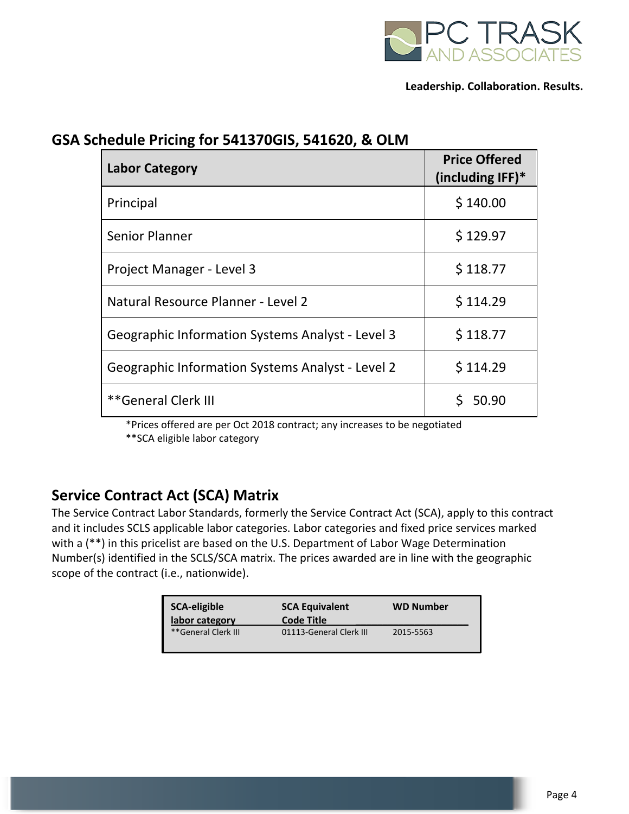

| GSA Schedule Pricing for 541370GIS, 541620, & OLM |  |
|---------------------------------------------------|--|
|---------------------------------------------------|--|

| <b>Labor Category</b>                                   | <b>Price Offered</b><br>(including $IFF$ )* |
|---------------------------------------------------------|---------------------------------------------|
| Principal                                               | \$140.00                                    |
| Senior Planner                                          | \$129.97                                    |
| Project Manager - Level 3                               | \$118.77                                    |
| Natural Resource Planner - Level 2                      | \$114.29                                    |
| <b>Geographic Information Systems Analyst - Level 3</b> | \$118.77                                    |
| <b>Geographic Information Systems Analyst - Level 2</b> | \$114.29                                    |
| **General Clerk III                                     | 50.90                                       |

 \*Prices offered are per Oct 2018 contract; any increases to be negotiated \*\*SCA eligible labor category

## **Service Contract Act (SCA) Matrix**

The Service Contract Labor Standards, formerly the Service Contract Act (SCA), apply to this contract and it includes SCLS applicable labor categories. Labor categories and fixed price services marked with a (\*\*) in this pricelist are based on the U.S. Department of Labor Wage Determination Number(s) identified in the SCLS/SCA matrix. The prices awarded are in line with the geographic scope of the contract (i.e., nationwide).

| <b>SCA-eligible</b><br>labor category | <b>SCA Equivalent</b><br><b>Code Title</b> | <b>WD Number</b> |
|---------------------------------------|--------------------------------------------|------------------|
| **General Clerk III                   | 01113-General Clerk III                    | 2015-5563        |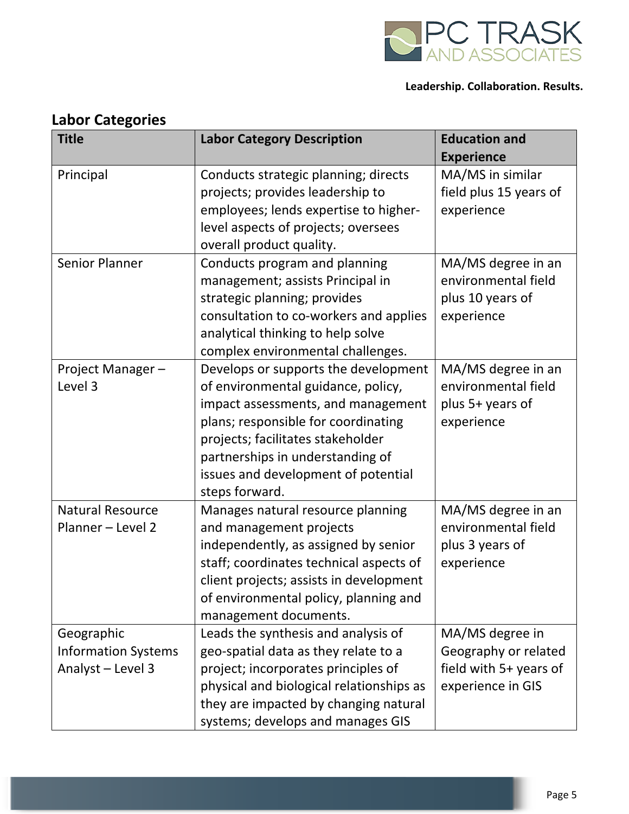

| <b>Title</b>                                                  | <b>Labor Category Description</b>                                                                                                                                                                                                                                                         | <b>Education and</b><br><b>Experience</b>                                              |
|---------------------------------------------------------------|-------------------------------------------------------------------------------------------------------------------------------------------------------------------------------------------------------------------------------------------------------------------------------------------|----------------------------------------------------------------------------------------|
| Principal                                                     | Conducts strategic planning; directs<br>projects; provides leadership to<br>employees; lends expertise to higher-<br>level aspects of projects; oversees<br>overall product quality.                                                                                                      | MA/MS in similar<br>field plus 15 years of<br>experience                               |
| <b>Senior Planner</b>                                         | Conducts program and planning<br>management; assists Principal in<br>strategic planning; provides<br>consultation to co-workers and applies<br>analytical thinking to help solve<br>complex environmental challenges.                                                                     | MA/MS degree in an<br>environmental field<br>plus 10 years of<br>experience            |
| Project Manager-<br>Level 3                                   | Develops or supports the development<br>of environmental guidance, policy,<br>impact assessments, and management<br>plans; responsible for coordinating<br>projects; facilitates stakeholder<br>partnerships in understanding of<br>issues and development of potential<br>steps forward. | MA/MS degree in an<br>environmental field<br>plus 5+ years of<br>experience            |
| <b>Natural Resource</b><br>Planner - Level 2                  | Manages natural resource planning<br>and management projects<br>independently, as assigned by senior<br>staff; coordinates technical aspects of<br>client projects; assists in development<br>of environmental policy, planning and<br>management documents.                              | MA/MS degree in an<br>environmental field<br>plus 3 years of<br>experience             |
| Geographic<br><b>Information Systems</b><br>Analyst - Level 3 | Leads the synthesis and analysis of<br>geo-spatial data as they relate to a<br>project; incorporates principles of<br>physical and biological relationships as<br>they are impacted by changing natural<br>systems; develops and manages GIS                                              | MA/MS degree in<br>Geography or related<br>field with 5+ years of<br>experience in GIS |

## **Labor Categories**